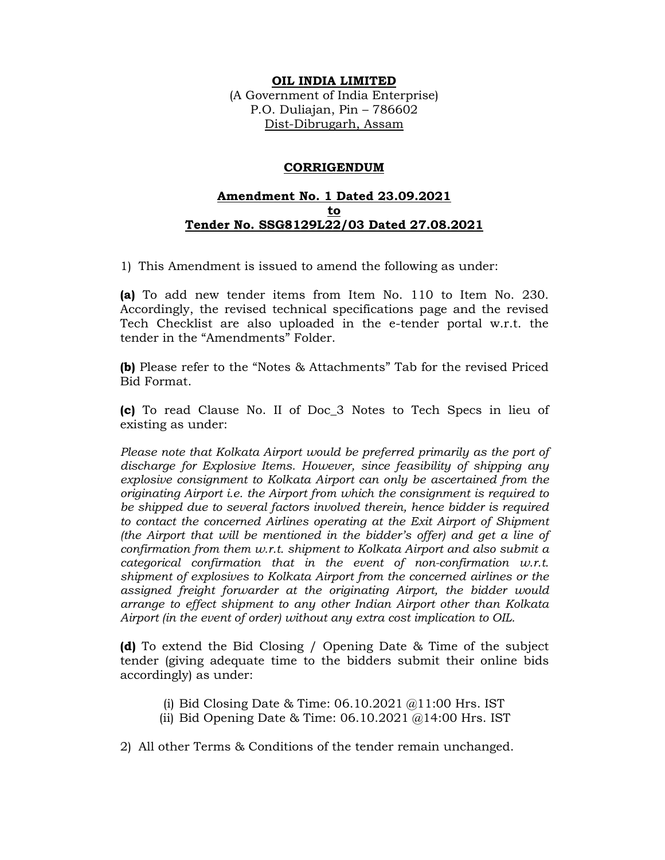## **OIL INDIA LIMITED**

(A Government of India Enterprise) P.O. Duliajan, Pin – 786602 Dist-Dibrugarh, Assam

## **CORRIGENDUM**

## **Amendment No. 1 Dated 23.09.2021 to Tender No. SSG8129L22/03 Dated 27.08.2021**

1) This Amendment is issued to amend the following as under:

**(a)** To add new tender items from Item No. 110 to Item No. 230. Accordingly, the revised technical specifications page and the revised Tech Checklist are also uploaded in the e-tender portal w.r.t. the tender in the "Amendments" Folder.

**(b)** Please refer to the "Notes & Attachments" Tab for the revised Priced Bid Format.

**(c)** To read Clause No. II of Doc\_3 Notes to Tech Specs in lieu of existing as under:

*Please note that Kolkata Airport would be preferred primarily as the port of discharge for Explosive Items. However, since feasibility of shipping any explosive consignment to Kolkata Airport can only be ascertained from the originating Airport i.e. the Airport from which the consignment is required to be shipped due to several factors involved therein, hence bidder is required to contact the concerned Airlines operating at the Exit Airport of Shipment (the Airport that will be mentioned in the bidder's offer) and get a line of confirmation from them w.r.t. shipment to Kolkata Airport and also submit a categorical confirmation that in the event of non-confirmation w.r.t. shipment of explosives to Kolkata Airport from the concerned airlines or the assigned freight forwarder at the originating Airport, the bidder would arrange to effect shipment to any other Indian Airport other than Kolkata Airport (in the event of order) without any extra cost implication to OIL.* 

**(d)** To extend the Bid Closing / Opening Date & Time of the subject tender (giving adequate time to the bidders submit their online bids accordingly) as under:

- (i) Bid Closing Date & Time:  $06.10.2021$   $@11:00$  Hrs. IST
- (ii) Bid Opening Date & Time:  $06.10.2021$   $@14:00$  Hrs. IST

2) All other Terms & Conditions of the tender remain unchanged.